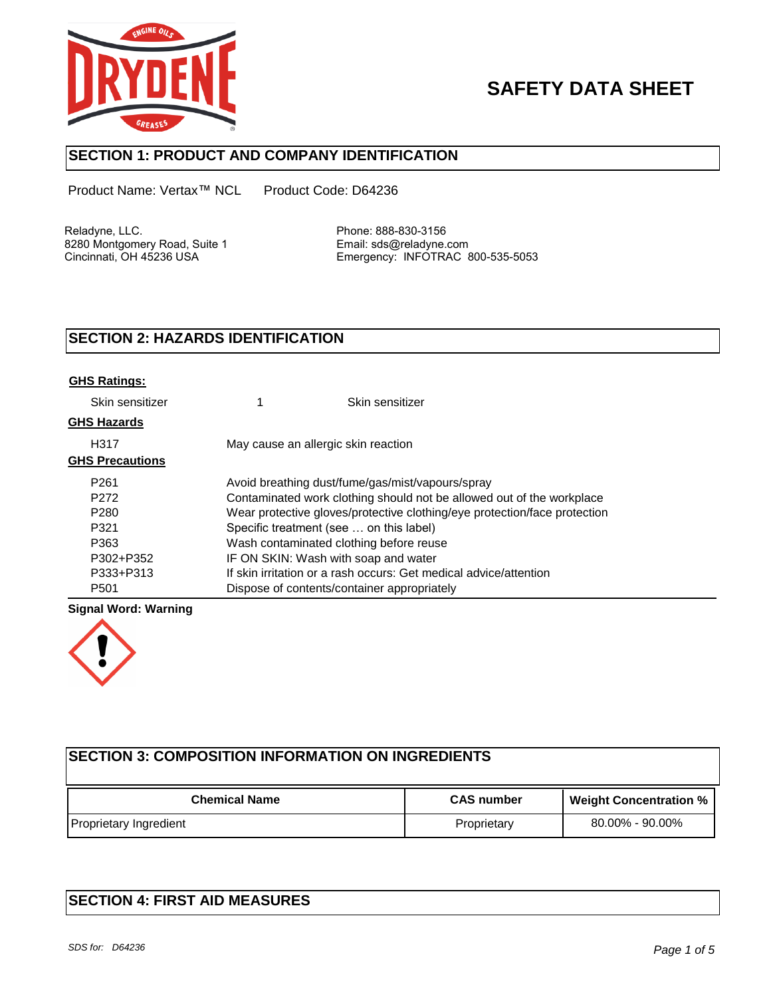

# **SAFETY DATA SHEET**

## **SECTION 1: PRODUCT AND COMPANY IDENTIFICATION**

Product Name: Vertax™ NCL Product Code: D64236

Reladyne, LLC.<br>8280 Montgomery Road, Suite 1 Finall: sds@reladyne.com 8280 Montgomery Road, Suite 1<br>Cincinnati, OH 45236 USA

Emergency: INFOTRAC 800-535-5053

## **SECTION 2: HAZARDS IDENTIFICATION**

| <b>GHS Ratings:</b>    |                                                                           |                                             |  |
|------------------------|---------------------------------------------------------------------------|---------------------------------------------|--|
| Skin sensitizer        |                                                                           | Skin sensitizer                             |  |
| <b>GHS Hazards</b>     |                                                                           |                                             |  |
| H317                   | May cause an allergic skin reaction                                       |                                             |  |
| <b>GHS Precautions</b> |                                                                           |                                             |  |
| P <sub>261</sub>       | Avoid breathing dust/fume/gas/mist/vapours/spray                          |                                             |  |
| P <sub>272</sub>       | Contaminated work clothing should not be allowed out of the workplace     |                                             |  |
| P <sub>280</sub>       | Wear protective gloves/protective clothing/eye protection/face protection |                                             |  |
| P321                   | Specific treatment (see  on this label)                                   |                                             |  |
| P363                   | Wash contaminated clothing before reuse                                   |                                             |  |
| P302+P352              | IF ON SKIN: Wash with soap and water                                      |                                             |  |
| P333+P313              | If skin irritation or a rash occurs: Get medical advice/attention         |                                             |  |
| P <sub>501</sub>       |                                                                           | Dispose of contents/container appropriately |  |

### **Signal Word: Warning**



| <b>ISECTION 3: COMPOSITION INFORMATION ON INGREDIENTS</b> |                   |                               |  |  |  |  |
|-----------------------------------------------------------|-------------------|-------------------------------|--|--|--|--|
| <b>Chemical Name</b>                                      | <b>CAS</b> number | <b>Weight Concentration %</b> |  |  |  |  |
| Proprietary Ingredient                                    | Proprietary       | 80.00% - 90.00%               |  |  |  |  |

## **SECTION 4: FIRST AID MEASURES**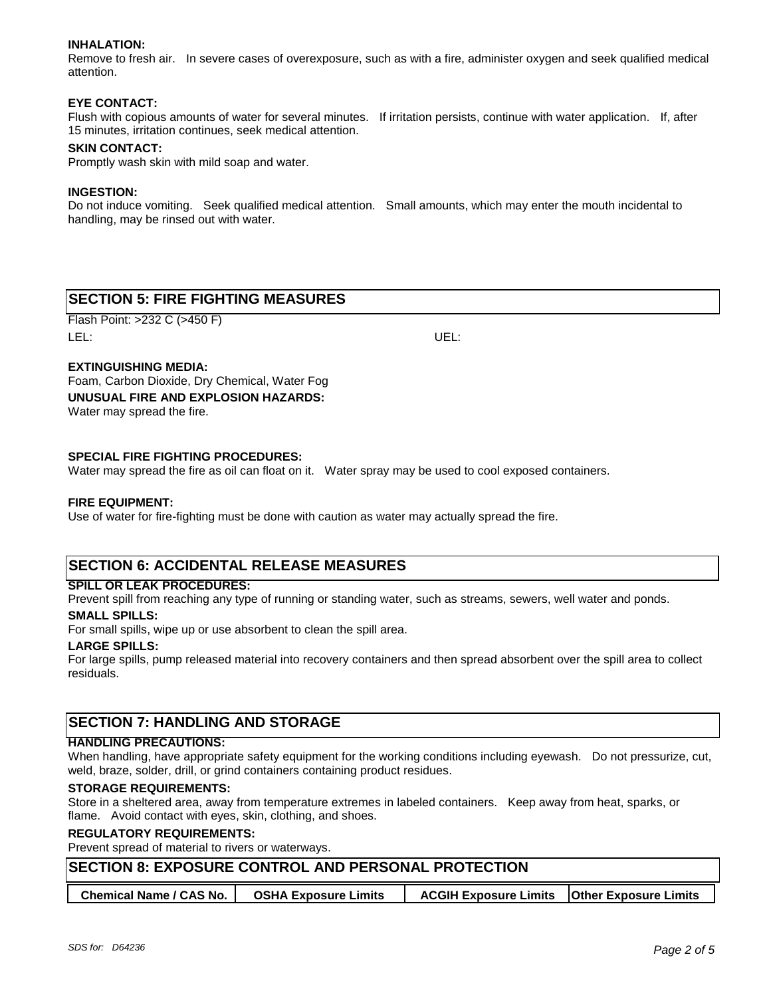#### **INHALATION:**

Remove to fresh air. In severe cases of overexposure, such as with a fire, administer oxygen and seek qualified medical attention.

#### **EYE CONTACT:**

Flush with copious amounts of water for several minutes. If irritation persists, continue with water application. If, after 15 minutes, irritation continues, seek medical attention.

#### **SKIN CONTACT:**

Promptly wash skin with mild soap and water.

#### **INGESTION:**

Do not induce vomiting. Seek qualified medical attention. Small amounts, which may enter the mouth incidental to handling, may be rinsed out with water.

## **SECTION 5: FIRE FIGHTING MEASURES**

Flash Point: >232 C (>450 F) LEL: UEL:

#### **EXTINGUISHING MEDIA:**

Foam, Carbon Dioxide, Dry Chemical, Water Fog **UNUSUAL FIRE AND EXPLOSION HAZARDS:** Water may spread the fire.

#### **SPECIAL FIRE FIGHTING PROCEDURES:**

Water may spread the fire as oil can float on it. Water spray may be used to cool exposed containers.

#### **FIRE EQUIPMENT:**

Use of water for fire-fighting must be done with caution as water may actually spread the fire.

## **SECTION 6: ACCIDENTAL RELEASE MEASURES**

#### **SPILL OR LEAK PROCEDURES:**

Prevent spill from reaching any type of running or standing water, such as streams, sewers, well water and ponds.

#### **SMALL SPILLS:**

For small spills, wipe up or use absorbent to clean the spill area.

#### **LARGE SPILLS:**

For large spills, pump released material into recovery containers and then spread absorbent over the spill area to collect residuals.

## **SECTION 7: HANDLING AND STORAGE**

#### **HANDLING PRECAUTIONS:**

When handling, have appropriate safety equipment for the working conditions including eyewash. Do not pressurize, cut, weld, braze, solder, drill, or grind containers containing product residues.

#### **STORAGE REQUIREMENTS:**

Store in a sheltered area, away from temperature extremes in labeled containers. Keep away from heat, sparks, or flame. Avoid contact with eyes, skin, clothing, and shoes.

#### **REGULATORY REQUIREMENTS:**

Prevent spread of material to rivers or waterways.

| <b>SECTION 8: EXPOSURE CONTROL AND PERSONAL PROTECTION</b> |                             |                                                      |  |  |  |  |
|------------------------------------------------------------|-----------------------------|------------------------------------------------------|--|--|--|--|
| <b>Chemical Name / CAS No.</b>                             | <b>OSHA Exposure Limits</b> | <b>ACGIH Exposure Limits   Other Exposure Limits</b> |  |  |  |  |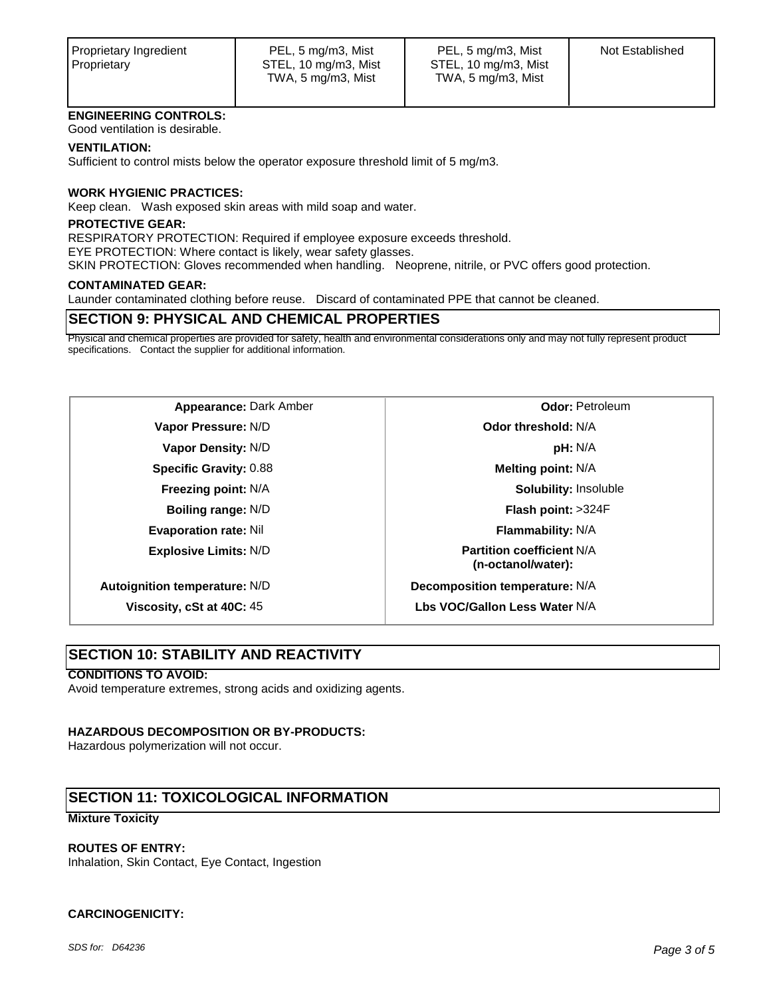#### **ENGINEERING CONTROLS:**

Good ventilation is desirable.

#### **VENTILATION:**

Sufficient to control mists below the operator exposure threshold limit of 5 mg/m3.

#### **WORK HYGIENIC PRACTICES:**

Keep clean. Wash exposed skin areas with mild soap and water.

#### **PROTECTIVE GEAR:**

RESPIRATORY PROTECTION: Required if employee exposure exceeds threshold.

EYE PROTECTION: Where contact is likely, wear safety glasses.

SKIN PROTECTION: Gloves recommended when handling. Neoprene, nitrile, or PVC offers good protection.

#### **CONTAMINATED GEAR:**

Launder contaminated clothing before reuse. Discard of contaminated PPE that cannot be cleaned.

## **SECTION 9: PHYSICAL AND CHEMICAL PROPERTIES**

Physical and chemical properties are provided for safety, health and environmental considerations only and may not fully represent product specifications. Contact the supplier for additional information.

**Appearance:** Dark Amber **Constanting Constanting Constanting Odor:** Petroleum **Vapor Pressure:** N/D **Odor threshold:** N/A **Vapor Density:** N/D **pH:** N/A **Specific Gravity:** 0.88 **Melting point:** N/A **Boiling range:** N/D **Flash point:** >324F **Evaporation rate:** Nil **Flammability:** N/A **Explosive Limits:** N/D **Partition coefficient** N/A

**Freezing point:** N/A **Solubility:** Insoluble **(n-octanol/water):**

**Autoignition temperature:** N/D **Decomposition temperature:** N/A

**Viscosity, cSt at 40C:** 45 **Lbs VOC/Gallon Less Water** N/A

## **SECTION 10: STABILITY AND REACTIVITY**

#### **CONDITIONS TO AVOID:**

Avoid temperature extremes, strong acids and oxidizing agents.

#### **HAZARDOUS DECOMPOSITION OR BY-PRODUCTS:**

Hazardous polymerization will not occur.

## **SECTION 11: TOXICOLOGICAL INFORMATION**

#### **Mixture Toxicity**

#### **ROUTES OF ENTRY:**

Inhalation, Skin Contact, Eye Contact, Ingestion

#### **CARCINOGENICITY:**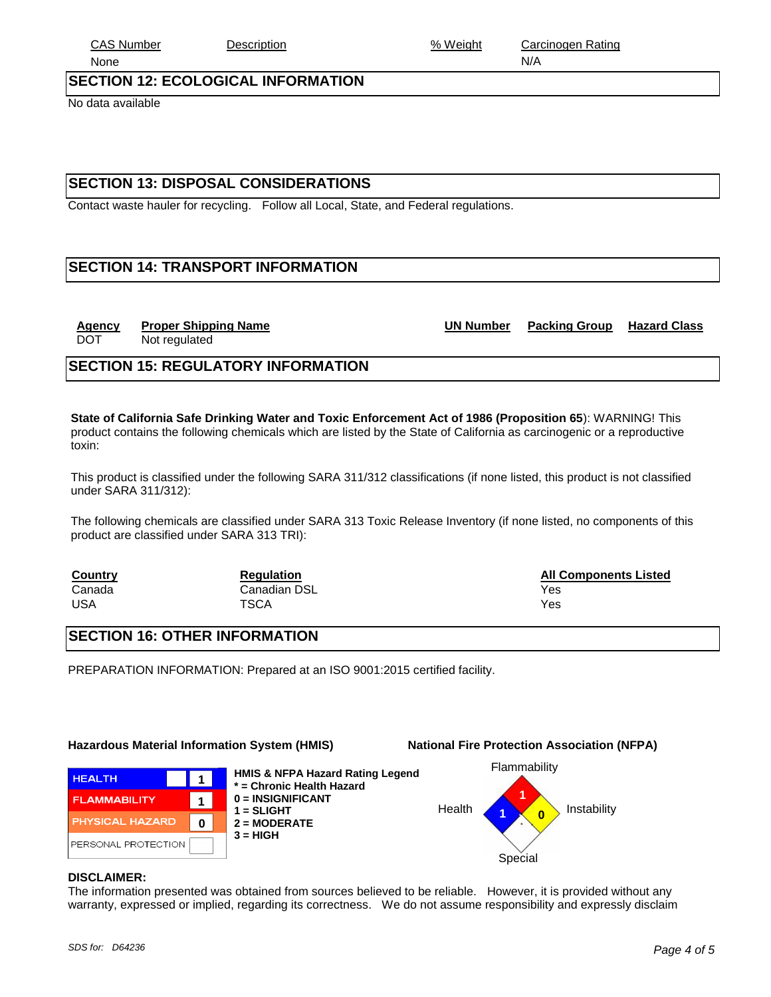No data available

## **SECTION 13: DISPOSAL CONSIDERATIONS**

Contact waste hauler for recycling. Follow all Local, State, and Federal regulations.

## **SECTION 14: TRANSPORT INFORMATION**

**SECTION 15: REGULATORY INFORMATION**

DOT Not regulated

**State of California Safe Drinking Water and Toxic Enforcement Act of 1986 (Proposition 65**): WARNING! This product contains the following chemicals which are listed by the State of California as carcinogenic or a reproductive toxin:

This product is classified under the following SARA 311/312 classifications (if none listed, this product is not classified under SARA 311/312):

The following chemicals are classified under SARA 313 Toxic Release Inventory (if none listed, no components of this product are classified under SARA 313 TRI):

| <b>Country</b> | <b>Regulation</b> | <b>All Components Listed</b> |
|----------------|-------------------|------------------------------|
| Canada         | Canadian DSL      | Yes                          |
| USA            | <b>TSCA</b>       | Yes                          |

## **SECTION 16: OTHER INFORMATION**

PREPARATION INFORMATION: Prepared at an ISO 9001:2015 certified facility.

## **Hazardous Material Information System (HMIS) National Fire Protection Association (NFPA)**

**1 1 0** **HMIS & NFPA Hazard Rating Legend \* = Chronic Health Hazard 0 = INSIGNIFICANT 1 = SLIGHT 2 = MODERATE**  $3 = HIGH$ 



#### **DISCLAIMER:**

**FLAMMABILITY** PHYSICAL HAZARD PERSONAL PROTECTION

**HEALTH** 

The information presented was obtained from sources believed to be reliable. However, it is provided without any warranty, expressed or implied, regarding its correctness. We do not assume responsibility and expressly disclaim

Flammability



**Agency Proper Shipping Name UN Number Packing Group Hazard Class**